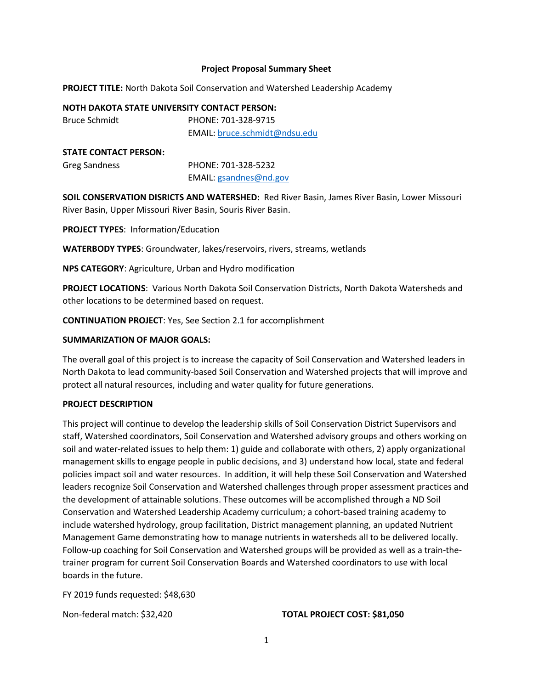#### **Project Proposal Summary Sheet**

**PROJECT TITLE:** North Dakota Soil Conservation and Watershed Leadership Academy

#### **NOTH DAKOTA STATE UNIVERSITY CONTACT PERSON:**

Bruce Schmidt PHONE: 701-328-9715 EMAIL: bruce.schmidt@ndsu.edu

#### **STATE CONTACT PERSON:**

| Greg Sandness | PHONE: 701-328-5232    |
|---------------|------------------------|
|               | EMAIL: gsandnes@nd.gov |

**SOIL CONSERVATION DISRICTS AND WATERSHED:** Red River Basin, James River Basin, Lower Missouri River Basin, Upper Missouri River Basin, Souris River Basin.

## **PROJECT TYPES**: Information/Education

**WATERBODY TYPES**: Groundwater, lakes/reservoirs, rivers, streams, wetlands

**NPS CATEGORY**: Agriculture, Urban and Hydro modification

**PROJECT LOCATIONS**: Various North Dakota Soil Conservation Districts, North Dakota Watersheds and other locations to be determined based on request.

**CONTINUATION PROJECT**: Yes, See Section 2.1 for accomplishment

# **SUMMARIZATION OF MAJOR GOALS:**

The overall goal of this project is to increase the capacity of Soil Conservation and Watershed leaders in North Dakota to lead community-based Soil Conservation and Watershed projects that will improve and protect all natural resources, including and water quality for future generations.

# **PROJECT DESCRIPTION**

This project will continue to develop the leadership skills of Soil Conservation District Supervisors and staff, Watershed coordinators, Soil Conservation and Watershed advisory groups and others working on soil and water-related issues to help them: 1) guide and collaborate with others, 2) apply organizational management skills to engage people in public decisions, and 3) understand how local, state and federal policies impact soil and water resources. In addition, it will help these Soil Conservation and Watershed leaders recognize Soil Conservation and Watershed challenges through proper assessment practices and the development of attainable solutions. These outcomes will be accomplished through a ND Soil Conservation and Watershed Leadership Academy curriculum; a cohort-based training academy to include watershed hydrology, group facilitation, District management planning, an updated Nutrient Management Game demonstrating how to manage nutrients in watersheds all to be delivered locally. Follow-up coaching for Soil Conservation and Watershed groups will be provided as well as a train-thetrainer program for current Soil Conservation Boards and Watershed coordinators to use with local boards in the future.

FY 2019 funds requested: \$48,630

#### Non-federal match: \$32,420 **TOTAL PROJECT COST: \$81,050**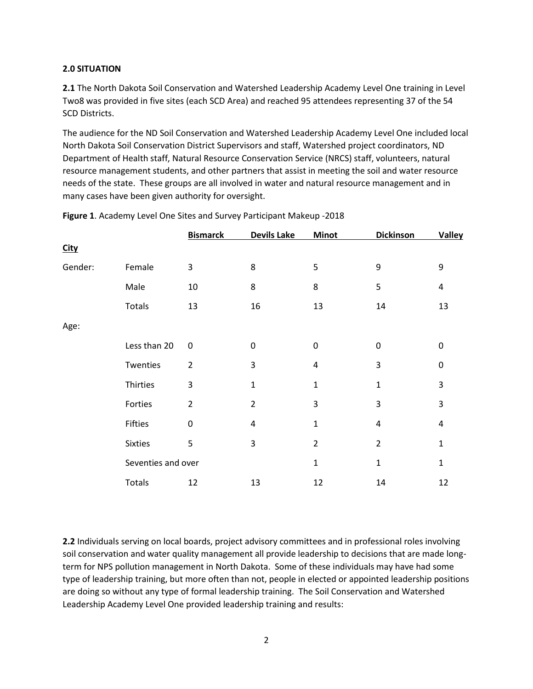# **2.0 SITUATION**

**2.1** The North Dakota Soil Conservation and Watershed Leadership Academy Level One training in Level Two8 was provided in five sites (each SCD Area) and reached 95 attendees representing 37 of the 54 SCD Districts.

The audience for the ND Soil Conservation and Watershed Leadership Academy Level One included local North Dakota Soil Conservation District Supervisors and staff, Watershed project coordinators, ND Department of Health staff, Natural Resource Conservation Service (NRCS) staff, volunteers, natural resource management students, and other partners that assist in meeting the soil and water resource needs of the state. These groups are all involved in water and natural resource management and in many cases have been given authority for oversight.

|             |                    | <b>Bismarck</b> | <b>Devils Lake</b> | <b>Minot</b>   | <b>Dickinson</b> | <b>Valley</b> |
|-------------|--------------------|-----------------|--------------------|----------------|------------------|---------------|
| <b>City</b> |                    |                 |                    |                |                  |               |
| Gender:     | Female             | 3               | 8                  | 5              | 9                | 9             |
|             | Male               | 10              | 8                  | 8              | 5                | 4             |
|             | Totals             | 13              | 16                 | 13             | 14               | 13            |
| Age:        |                    |                 |                    |                |                  |               |
|             | Less than 20       | $\pmb{0}$       | $\mathbf 0$        | 0              | $\mathbf 0$      | 0             |
|             | Twenties           | $\overline{2}$  | 3                  | 4              | 3                | 0             |
|             | Thirties           | 3               | $\mathbf 1$        | 1              | 1                | 3             |
|             | Forties            | $\overline{2}$  | $\overline{2}$     | 3              | 3                | 3             |
|             | Fifties            | $\pmb{0}$       | 4                  | $\mathbf{1}$   | 4                | 4             |
|             | <b>Sixties</b>     | 5               | 3                  | $\overline{2}$ | $\overline{2}$   | $\mathbf{1}$  |
|             | Seventies and over |                 |                    | 1              | $\mathbf{1}$     | $\mathbf{1}$  |
|             | Totals             | 12              | 13                 | 12             | 14               | 12            |

**Figure 1**. Academy Level One Sites and Survey Participant Makeup -2018

**2.2** Individuals serving on local boards, project advisory committees and in professional roles involving soil conservation and water quality management all provide leadership to decisions that are made longterm for NPS pollution management in North Dakota. Some of these individuals may have had some type of leadership training, but more often than not, people in elected or appointed leadership positions are doing so without any type of formal leadership training. The Soil Conservation and Watershed Leadership Academy Level One provided leadership training and results: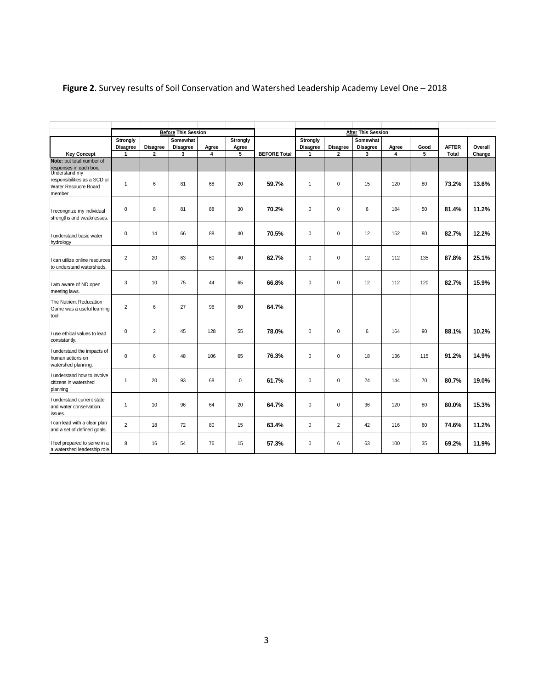|                                                                                  |                                    |                 | <b>Before This Session</b> |       |                   |                     |                      |                 | <b>After This Session</b>   |       |      |              |         |
|----------------------------------------------------------------------------------|------------------------------------|-----------------|----------------------------|-------|-------------------|---------------------|----------------------|-----------------|-----------------------------|-------|------|--------------|---------|
|                                                                                  | <b>Strongly</b><br><b>Disagree</b> | <b>Disagree</b> | Somewhat<br>Disagree       | Agree | Strongly<br>Agree |                     | Strongly<br>Disagree | <b>Disagree</b> | Somewhat<br><b>Disagree</b> | Agree | Good | <b>AFTER</b> | Overall |
| <b>Key Concept</b>                                                               | $\mathbf{1}$                       | $\mathbf{2}$    | 3                          | 4     | 5                 | <b>BEFORE Total</b> | 1                    | $\overline{2}$  | 3                           | 4     | 5    | <b>Total</b> | Change  |
| Note: put total number of<br>responses in each box.                              |                                    |                 |                            |       |                   |                     |                      |                 |                             |       |      |              |         |
| Understand my<br>responsibilities as a SCD or<br>Water Resoucre Board<br>member. | $\overline{1}$                     | 6               | 81                         | 68    | 20                | 59.7%               | $\mathbf{1}$         | $\mathbf 0$     | 15                          | 120   | 80   | 73.2%        | 13.6%   |
| I recongnize my individual<br>strengths and weaknesses.                          | $\mathbf 0$                        | 8               | 81                         | 88    | 30                | 70.2%               | $\mathbf 0$          | $\mathbf 0$     | 6                           | 184   | 50   | 81.4%        | 11.2%   |
| I understand basic water<br>hydrology                                            | $\mathbf 0$                        | 14              | 66                         | 88    | 40                | 70.5%               | $\mathbf 0$          | $\mathbf 0$     | 12                          | 152   | 80   | 82.7%        | 12.2%   |
| I can utilize online resources<br>to understand watersheds.                      | $\overline{2}$                     | 20              | 63                         | 60    | 40                | 62.7%               | $\mathbf 0$          | $\mathsf 0$     | 12                          | 112   | 135  | 87.8%        | 25.1%   |
| I am aware of ND open<br>meeting laws.                                           | 3                                  | 10              | 75                         | 44    | 65                | 66.8%               | $\mathbf 0$          | $\mathsf 0$     | 12                          | 112   | 120  | 82.7%        | 15.9%   |
| The Nutrient Reducation<br>Game was a useful learning<br>tool.                   | $\overline{2}$                     | 6               | 27                         | 96    | 60                | 64.7%               |                      |                 |                             |       |      |              |         |
| I use ethical values to lead<br>consistantly.                                    | $\mathbf 0$                        | $\overline{2}$  | 45                         | 128   | 55                | 78.0%               | $\mathbf 0$          | $\mathbf 0$     | 6                           | 164   | 90   | 88.1%        | 10.2%   |
| I understand the impacts of<br>human actions on<br>watershed planning.           | $\mathbf 0$                        | 6               | 48                         | 106   | 65                | 76.3%               | $\mathbf 0$          | $\mathbf 0$     | 18                          | 136   | 115  | 91.2%        | 14.9%   |
| I understand how to involve<br>citizens in watershed<br>planning                 | $\overline{1}$                     | 20              | 93                         | 68    | $\mathbf 0$       | 61.7%               | $\pmb{0}$            | 0               | 24                          | 144   | 70   | 80.7%        | 19.0%   |
| I understand current state<br>and water conservation<br>issues.                  | $\overline{1}$                     | 10              | 96                         | 64    | 20                | 64.7%               | $\mathbf 0$          | 0               | 36                          | 120   | 80   | 80.0%        | 15.3%   |
| I can lead with a clear plan<br>and a set of defined goals.                      | $\overline{2}$                     | 18              | 72                         | 80    | 15                | 63.4%               | 0                    | $\overline{2}$  | 42                          | 116   | 60   | 74.6%        | 11.2%   |
| I feel prepared to serve in a<br>a watershed leadership role.                    | 8                                  | 16              | 54                         | 76    | 15                | 57.3%               | $\pmb{0}$            | 6               | 63                          | 100   | 35   | 69.2%        | 11.9%   |

# **Figure 2**. Survey results of Soil Conservation and Watershed Leadership Academy Level One – 2018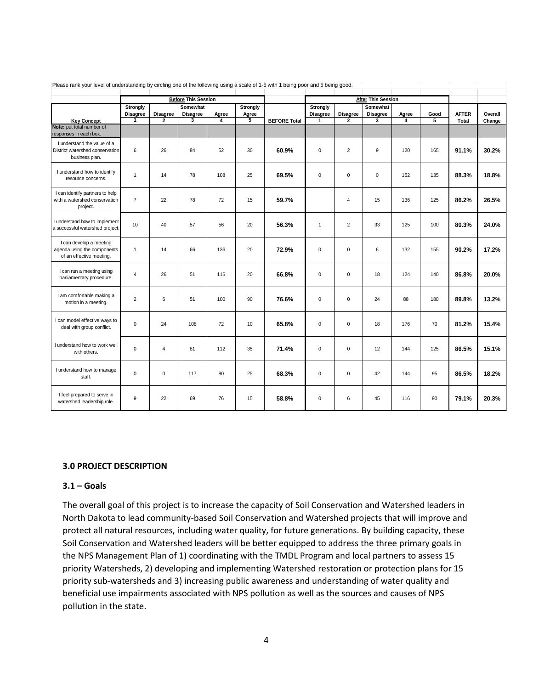| Please rank your level of understanding by circling one of the following using a scale of 1-5 with 1 being poor and 5 being good. |                             |                         |                            |            |            |                     |               |                 |                           |            |      |              |         |
|-----------------------------------------------------------------------------------------------------------------------------------|-----------------------------|-------------------------|----------------------------|------------|------------|---------------------|---------------|-----------------|---------------------------|------------|------|--------------|---------|
|                                                                                                                                   |                             |                         |                            |            |            |                     |               |                 |                           |            |      |              |         |
|                                                                                                                                   |                             |                         | <b>Before This Session</b> |            |            |                     |               |                 | <b>After This Session</b> |            |      |              |         |
|                                                                                                                                   | <b>Strongly</b><br>Disagree | <b>Disagree</b>         | Somewhat<br>Disagree       |            | Strongly   |                     | Strongly      | <b>Disagree</b> | Somewhat<br>Disagree      |            | Good | <b>AFTER</b> | Overall |
| <b>Key Concept</b>                                                                                                                | 1                           | $\overline{2}$          | 3                          | Agree<br>4 | Agree<br>5 | <b>BEFORE Total</b> | Disagree<br>1 | $\overline{2}$  | 3                         | Agree<br>4 | 5    | Total        | Change  |
| Note: put total number of                                                                                                         |                             |                         |                            |            |            |                     |               |                 |                           |            |      |              |         |
| responses in each box.                                                                                                            |                             |                         |                            |            |            |                     |               |                 |                           |            |      |              |         |
| I understand the value of a                                                                                                       |                             |                         |                            |            |            |                     |               |                 |                           |            |      |              |         |
| District watershed conservation                                                                                                   | 6                           | 26                      | 84                         | 52         | 30         | 60.9%               | $\pmb{0}$     | $\overline{2}$  | 9                         | 120        | 165  | 91.1%        | 30.2%   |
| business plan.                                                                                                                    |                             |                         |                            |            |            |                     |               |                 |                           |            |      |              |         |
|                                                                                                                                   |                             |                         |                            |            |            |                     |               |                 |                           |            |      |              |         |
| I understand how to identify                                                                                                      | $\mathbf{1}$                | 14                      | 78                         | 108        | 25         | 69.5%               | $\mathbf 0$   | 0               | 0                         | 152        | 135  | 88.3%        | 18.8%   |
| resource concerns.                                                                                                                |                             |                         |                            |            |            |                     |               |                 |                           |            |      |              |         |
|                                                                                                                                   |                             |                         |                            |            |            |                     |               |                 |                           |            |      |              |         |
| I can identify partners to help<br>with a watershed conservation                                                                  | $\overline{7}$              | 22                      | 78                         | 72         | 15         | 59.7%               |               |                 | 15                        |            |      | 86.2%        | 26.5%   |
| project.                                                                                                                          |                             |                         |                            |            |            |                     |               | 4               |                           | 136        | 125  |              |         |
|                                                                                                                                   |                             |                         |                            |            |            |                     |               |                 |                           |            |      |              |         |
| I understand how to implement                                                                                                     |                             |                         |                            |            |            |                     |               |                 |                           |            |      |              |         |
| a successful watershed project.                                                                                                   | 10                          | 40                      | 57                         | 56         | 20         | 56.3%               | $\mathbf{1}$  | $\overline{2}$  | 33                        | 125        | 100  | 80.3%        | 24.0%   |
|                                                                                                                                   |                             |                         |                            |            |            |                     |               |                 |                           |            |      |              |         |
| I can develop a meeting                                                                                                           |                             |                         |                            |            |            |                     |               |                 |                           |            |      |              |         |
| agenda using the components                                                                                                       | $\mathbf{1}$                | 14                      | 66                         | 136        | 20         | 72.9%               | $\mathsf 0$   | $\mathbf 0$     | 6                         | 132        | 155  | 90.2%        | 17.2%   |
| of an effective meeting.                                                                                                          |                             |                         |                            |            |            |                     |               |                 |                           |            |      |              |         |
| I can run a meeting using                                                                                                         |                             |                         |                            |            |            |                     |               |                 |                           |            |      |              |         |
| parliamentary procedure.                                                                                                          | $\overline{4}$              | 26                      | 51                         | 116        | 20         | 66.8%               | $\pmb{0}$     | 0               | 18                        | 124        | 140  | 86.8%        | 20.0%   |
|                                                                                                                                   |                             |                         |                            |            |            |                     |               |                 |                           |            |      |              |         |
| I am comfortable making a                                                                                                         |                             |                         |                            |            |            |                     |               |                 |                           |            |      |              |         |
| motion in a meeting.                                                                                                              | $\overline{2}$              | $6\phantom{1}6$         | 51                         | 100        | 90         | 76.6%               | $\pmb{0}$     | $\mathbf 0$     | 24                        | 88         | 180  | 89.8%        | 13.2%   |
|                                                                                                                                   |                             |                         |                            |            |            |                     |               |                 |                           |            |      |              |         |
|                                                                                                                                   |                             |                         |                            |            |            |                     |               |                 |                           |            |      |              |         |
| I can model effective ways to<br>deal with group conflict.                                                                        | $\mathbf 0$                 | 24                      | 108                        | 72         | 10         | 65.8%               | $\mathbf 0$   | $\mathbf 0$     | 18                        | 176        | 70   | 81.2%        | 15.4%   |
|                                                                                                                                   |                             |                         |                            |            |            |                     |               |                 |                           |            |      |              |         |
|                                                                                                                                   |                             |                         |                            |            |            |                     |               |                 |                           |            |      |              |         |
| I understand how to work well                                                                                                     | $\mathbf 0$                 | $\overline{\mathbf{4}}$ | 81                         | 112        | 35         | 71.4%               | $\pmb{0}$     | $\mathbf 0$     | 12                        | 144        | 125  | 86.5%        | 15.1%   |
| with others.                                                                                                                      |                             |                         |                            |            |            |                     |               |                 |                           |            |      |              |         |
|                                                                                                                                   |                             |                         |                            |            |            |                     |               |                 |                           |            |      |              |         |
| I understand how to manage                                                                                                        | $\mathbf 0$                 | $\mathbf 0$             | 117                        | 80         | 25         | 68.3%               | $\mathbf 0$   | 0               | 42                        | 144        | 95   | 86.5%        | 18.2%   |
| staff.                                                                                                                            |                             |                         |                            |            |            |                     |               |                 |                           |            |      |              |         |
|                                                                                                                                   |                             |                         |                            |            |            |                     |               |                 |                           |            |      |              |         |
| I feel prepared to serve in                                                                                                       | 9                           | 22                      | 69                         | 76         | 15         | 58.8%               | $\pmb{0}$     | 6               | 45                        | 116        | 90   | 79.1%        | 20.3%   |
| watershed leadership role.                                                                                                        |                             |                         |                            |            |            |                     |               |                 |                           |            |      |              |         |
|                                                                                                                                   |                             |                         |                            |            |            |                     |               |                 |                           |            |      |              |         |

#### **3.0 PROJECT DESCRIPTION**

#### **3.1 – Goals**

The overall goal of this project is to increase the capacity of Soil Conservation and Watershed leaders in North Dakota to lead community-based Soil Conservation and Watershed projects that will improve and protect all natural resources, including water quality, for future generations. By building capacity, these Soil Conservation and Watershed leaders will be better equipped to address the three primary goals in the NPS Management Plan of 1) coordinating with the TMDL Program and local partners to assess 15 priority Watersheds, 2) developing and implementing Watershed restoration or protection plans for 15 priority sub-watersheds and 3) increasing public awareness and understanding of water quality and beneficial use impairments associated with NPS pollution as well as the sources and causes of NPS pollution in the state.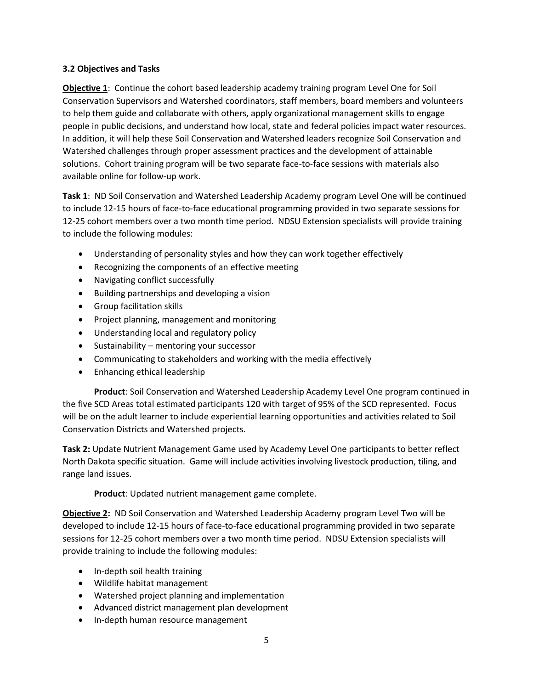# **3.2 Objectives and Tasks**

**Objective 1**: Continue the cohort based leadership academy training program Level One for Soil Conservation Supervisors and Watershed coordinators, staff members, board members and volunteers to help them guide and collaborate with others, apply organizational management skills to engage people in public decisions, and understand how local, state and federal policies impact water resources. In addition, it will help these Soil Conservation and Watershed leaders recognize Soil Conservation and Watershed challenges through proper assessment practices and the development of attainable solutions. Cohort training program will be two separate face-to-face sessions with materials also available online for follow-up work.

**Task 1**: ND Soil Conservation and Watershed Leadership Academy program Level One will be continued to include 12-15 hours of face-to-face educational programming provided in two separate sessions for 12-25 cohort members over a two month time period. NDSU Extension specialists will provide training to include the following modules:

- Understanding of personality styles and how they can work together effectively
- Recognizing the components of an effective meeting
- Navigating conflict successfully
- Building partnerships and developing a vision
- Group facilitation skills
- Project planning, management and monitoring
- Understanding local and regulatory policy
- Sustainability mentoring your successor
- Communicating to stakeholders and working with the media effectively
- Enhancing ethical leadership

**Product**: Soil Conservation and Watershed Leadership Academy Level One program continued in the five SCD Areas total estimated participants 120 with target of 95% of the SCD represented. Focus will be on the adult learner to include experiential learning opportunities and activities related to Soil Conservation Districts and Watershed projects.

**Task 2:** Update Nutrient Management Game used by Academy Level One participants to better reflect North Dakota specific situation. Game will include activities involving livestock production, tiling, and range land issues.

**Product**: Updated nutrient management game complete.

**Objective 2:** ND Soil Conservation and Watershed Leadership Academy program Level Two will be developed to include 12-15 hours of face-to-face educational programming provided in two separate sessions for 12-25 cohort members over a two month time period. NDSU Extension specialists will provide training to include the following modules:

- In-depth soil health training
- Wildlife habitat management
- Watershed project planning and implementation
- Advanced district management plan development
- In-depth human resource management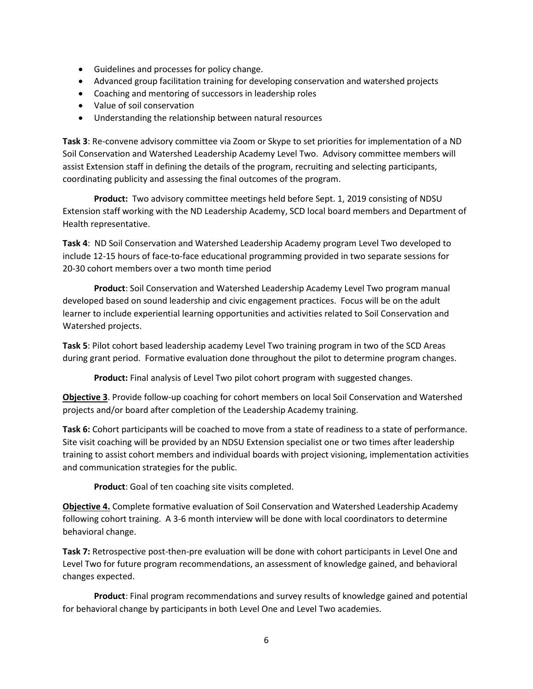- Guidelines and processes for policy change.
- Advanced group facilitation training for developing conservation and watershed projects
- Coaching and mentoring of successors in leadership roles
- Value of soil conservation
- Understanding the relationship between natural resources

**Task 3**: Re-convene advisory committee via Zoom or Skype to set priorities for implementation of a ND Soil Conservation and Watershed Leadership Academy Level Two. Advisory committee members will assist Extension staff in defining the details of the program, recruiting and selecting participants, coordinating publicity and assessing the final outcomes of the program.

**Product:** Two advisory committee meetings held before Sept. 1, 2019 consisting of NDSU Extension staff working with the ND Leadership Academy, SCD local board members and Department of Health representative.

**Task 4**: ND Soil Conservation and Watershed Leadership Academy program Level Two developed to include 12-15 hours of face-to-face educational programming provided in two separate sessions for 20-30 cohort members over a two month time period

**Product**: Soil Conservation and Watershed Leadership Academy Level Two program manual developed based on sound leadership and civic engagement practices. Focus will be on the adult learner to include experiential learning opportunities and activities related to Soil Conservation and Watershed projects.

**Task 5**: Pilot cohort based leadership academy Level Two training program in two of the SCD Areas during grant period. Formative evaluation done throughout the pilot to determine program changes.

**Product:** Final analysis of Level Two pilot cohort program with suggested changes.

**Objective 3**. Provide follow-up coaching for cohort members on local Soil Conservation and Watershed projects and/or board after completion of the Leadership Academy training.

**Task 6:** Cohort participants will be coached to move from a state of readiness to a state of performance. Site visit coaching will be provided by an NDSU Extension specialist one or two times after leadership training to assist cohort members and individual boards with project visioning, implementation activities and communication strategies for the public.

**Product**: Goal of ten coaching site visits completed.

**Objective 4.** Complete formative evaluation of Soil Conservation and Watershed Leadership Academy following cohort training. A 3-6 month interview will be done with local coordinators to determine behavioral change.

**Task 7:** Retrospective post-then-pre evaluation will be done with cohort participants in Level One and Level Two for future program recommendations, an assessment of knowledge gained, and behavioral changes expected.

**Product**: Final program recommendations and survey results of knowledge gained and potential for behavioral change by participants in both Level One and Level Two academies.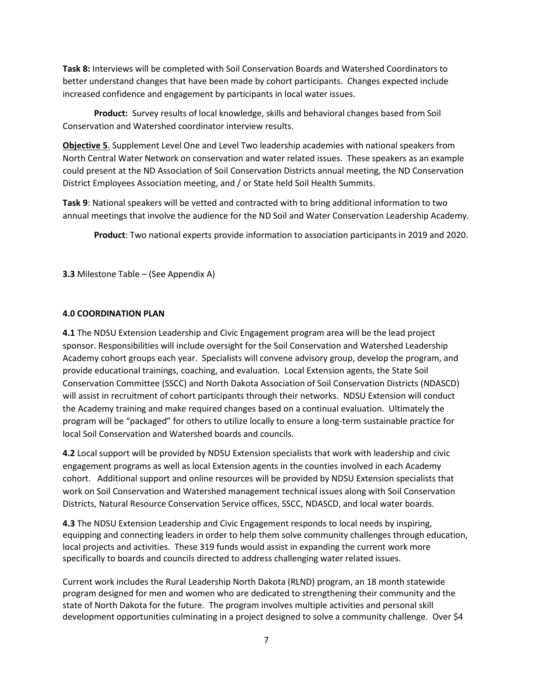**Task 8:** Interviews will be completed with Soil Conservation Boards and Watershed Coordinators to better understand changes that have been made by cohort participants. Changes expected include increased confidence and engagement by participants in local water issues.

**Product:** Survey results of local knowledge, skills and behavioral changes based from Soil Conservation and Watershed coordinator interview results.

**Objective 5**. Supplement Level One and Level Two leadership academies with national speakers from North Central Water Network on conservation and water related issues. These speakers as an example could present at the ND Association of Soil Conservation Districts annual meeting, the ND Conservation District Employees Association meeting, and / or State held Soil Health Summits.

**Task 9**: National speakers will be vetted and contracted with to bring additional information to two annual meetings that involve the audience for the ND Soil and Water Conservation Leadership Academy.

**Product**: Two national experts provide information to association participants in 2019 and 2020.

**3.3** Milestone Table – (See Appendix A)

## **4.0 COORDINATION PLAN**

**4.1** The NDSU Extension Leadership and Civic Engagement program area will be the lead project sponsor. Responsibilities will include oversight for the Soil Conservation and Watershed Leadership Academy cohort groups each year. Specialists will convene advisory group, develop the program, and provide educational trainings, coaching, and evaluation. Local Extension agents, the State Soil Conservation Committee (SSCC) and North Dakota Association of Soil Conservation Districts (NDASCD) will assist in recruitment of cohort participants through their networks. NDSU Extension will conduct the Academy training and make required changes based on a continual evaluation. Ultimately the program will be "packaged" for others to utilize locally to ensure a long-term sustainable practice for local Soil Conservation and Watershed boards and councils.

**4.2** Local support will be provided by NDSU Extension specialists that work with leadership and civic engagement programs as well as local Extension agents in the counties involved in each Academy cohort. Additional support and online resources will be provided by NDSU Extension specialists that work on Soil Conservation and Watershed management technical issues along with Soil Conservation Districts, Natural Resource Conservation Service offices, SSCC, NDASCD, and local water boards.

**4.3** The NDSU Extension Leadership and Civic Engagement responds to local needs by inspiring, equipping and connecting leaders in order to help them solve community challenges through education, local projects and activities. These 319 funds would assist in expanding the current work more specifically to boards and councils directed to address challenging water related issues.

Current work includes the Rural Leadership North Dakota (RLND) program, an 18 month statewide program designed for men and women who are dedicated to strengthening their community and the state of North Dakota for the future. The program involves multiple activities and personal skill development opportunities culminating in a project designed to solve a community challenge. Over \$4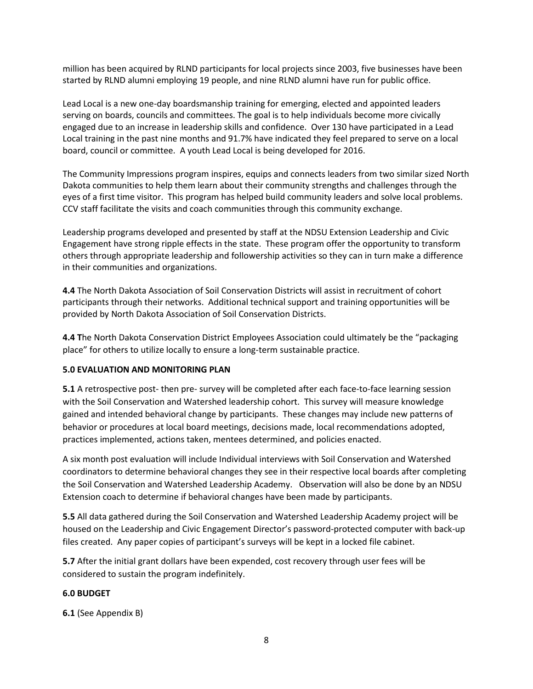million has been acquired by RLND participants for local projects since 2003, five businesses have been started by RLND alumni employing 19 people, and nine RLND alumni have run for public office.

Lead Local is a new one-day boardsmanship training for emerging, elected and appointed leaders serving on boards, councils and committees. The goal is to help individuals become more civically engaged due to an increase in leadership skills and confidence. Over 130 have participated in a Lead Local training in the past nine months and 91.7% have indicated they feel prepared to serve on a local board, council or committee. A youth Lead Local is being developed for 2016.

The Community Impressions program inspires, equips and connects leaders from two similar sized North Dakota communities to help them learn about their community strengths and challenges through the eyes of a first time visitor. This program has helped build community leaders and solve local problems. CCV staff facilitate the visits and coach communities through this community exchange.

Leadership programs developed and presented by staff at the NDSU Extension Leadership and Civic Engagement have strong ripple effects in the state. These program offer the opportunity to transform others through appropriate leadership and followership activities so they can in turn make a difference in their communities and organizations.

**4.4** The North Dakota Association of Soil Conservation Districts will assist in recruitment of cohort participants through their networks. Additional technical support and training opportunities will be provided by North Dakota Association of Soil Conservation Districts.

**4.4 T**he North Dakota Conservation District Employees Association could ultimately be the "packaging place" for others to utilize locally to ensure a long-term sustainable practice.

# **5.0 EVALUATION AND MONITORING PLAN**

**5.1** A retrospective post- then pre- survey will be completed after each face-to-face learning session with the Soil Conservation and Watershed leadership cohort. This survey will measure knowledge gained and intended behavioral change by participants. These changes may include new patterns of behavior or procedures at local board meetings, decisions made, local recommendations adopted, practices implemented, actions taken, mentees determined, and policies enacted.

A six month post evaluation will include Individual interviews with Soil Conservation and Watershed coordinators to determine behavioral changes they see in their respective local boards after completing the Soil Conservation and Watershed Leadership Academy. Observation will also be done by an NDSU Extension coach to determine if behavioral changes have been made by participants.

**5.5** All data gathered during the Soil Conservation and Watershed Leadership Academy project will be housed on the Leadership and Civic Engagement Director's password-protected computer with back-up files created. Any paper copies of participant's surveys will be kept in a locked file cabinet.

**5.7** After the initial grant dollars have been expended, cost recovery through user fees will be considered to sustain the program indefinitely.

# **6.0 BUDGET**

**6.1** (See Appendix B)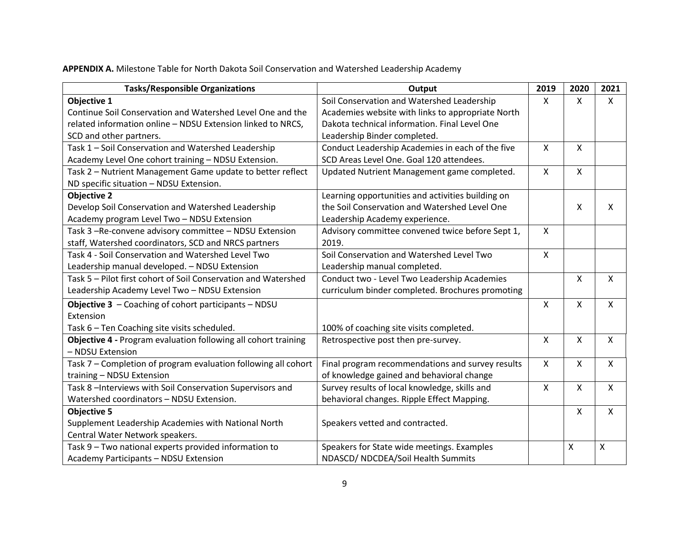**APPENDIX A.** Milestone Table for North Dakota Soil Conservation and Watershed Leadership Academy

| <b>Tasks/Responsible Organizations</b>                         | Output                                            | 2019         | 2020                      | 2021                      |
|----------------------------------------------------------------|---------------------------------------------------|--------------|---------------------------|---------------------------|
| Objective 1                                                    | Soil Conservation and Watershed Leadership        | X            | $\mathsf{X}$              | $\mathsf{X}$              |
| Continue Soil Conservation and Watershed Level One and the     | Academies website with links to appropriate North |              |                           |                           |
| related information online - NDSU Extension linked to NRCS,    | Dakota technical information. Final Level One     |              |                           |                           |
| SCD and other partners.                                        | Leadership Binder completed.                      |              |                           |                           |
| Task 1 - Soil Conservation and Watershed Leadership            | Conduct Leadership Academies in each of the five  | X            | $\boldsymbol{\mathsf{X}}$ |                           |
| Academy Level One cohort training - NDSU Extension.            | SCD Areas Level One. Goal 120 attendees.          |              |                           |                           |
| Task 2 - Nutrient Management Game update to better reflect     | Updated Nutrient Management game completed.       | X            | $\boldsymbol{\mathsf{X}}$ |                           |
| ND specific situation - NDSU Extension.                        |                                                   |              |                           |                           |
| <b>Objective 2</b>                                             | Learning opportunities and activities building on |              |                           |                           |
| Develop Soil Conservation and Watershed Leadership             | the Soil Conservation and Watershed Level One     |              | $\boldsymbol{\mathsf{X}}$ | Χ                         |
| Academy program Level Two - NDSU Extension                     | Leadership Academy experience.                    |              |                           |                           |
| Task 3 -Re-convene advisory committee - NDSU Extension         | Advisory committee convened twice before Sept 1,  | X            |                           |                           |
| staff, Watershed coordinators, SCD and NRCS partners           | 2019.                                             |              |                           |                           |
| Task 4 - Soil Conservation and Watershed Level Two             | Soil Conservation and Watershed Level Two         | $\mathsf{x}$ |                           |                           |
| Leadership manual developed. - NDSU Extension                  | Leadership manual completed.                      |              |                           |                           |
| Task 5 – Pilot first cohort of Soil Conservation and Watershed | Conduct two - Level Two Leadership Academies      |              | $\boldsymbol{\mathsf{X}}$ | $\mathsf{x}$              |
| Leadership Academy Level Two - NDSU Extension                  | curriculum binder completed. Brochures promoting  |              |                           |                           |
| Objective 3 - Coaching of cohort participants - NDSU           |                                                   | $\mathsf{x}$ | $\boldsymbol{\mathsf{X}}$ | $\mathsf{x}$              |
| Extension                                                      |                                                   |              |                           |                           |
| Task 6 - Ten Coaching site visits scheduled.                   | 100% of coaching site visits completed.           |              |                           |                           |
| Objective 4 - Program evaluation following all cohort training | Retrospective post then pre-survey.               | X            | $\boldsymbol{\mathsf{X}}$ | $\mathsf{x}$              |
| - NDSU Extension                                               |                                                   |              |                           |                           |
| Task 7 - Completion of program evaluation following all cohort | Final program recommendations and survey results  | X            | $\boldsymbol{\mathsf{X}}$ | X                         |
| training - NDSU Extension                                      | of knowledge gained and behavioral change         |              |                           |                           |
| Task 8 - Interviews with Soil Conservation Supervisors and     | Survey results of local knowledge, skills and     | X            | $\boldsymbol{\mathsf{X}}$ | $\mathsf{x}$              |
| Watershed coordinators - NDSU Extension.                       | behavioral changes. Ripple Effect Mapping.        |              |                           |                           |
| <b>Objective 5</b>                                             |                                                   |              | $\boldsymbol{\mathsf{X}}$ | $\mathsf{X}$              |
| Supplement Leadership Academies with National North            | Speakers vetted and contracted.                   |              |                           |                           |
| Central Water Network speakers.                                |                                                   |              |                           |                           |
| Task 9 - Two national experts provided information to          | Speakers for State wide meetings. Examples        |              | X                         | $\boldsymbol{\mathsf{X}}$ |
| Academy Participants - NDSU Extension                          | NDASCD/ NDCDEA/Soil Health Summits                |              |                           |                           |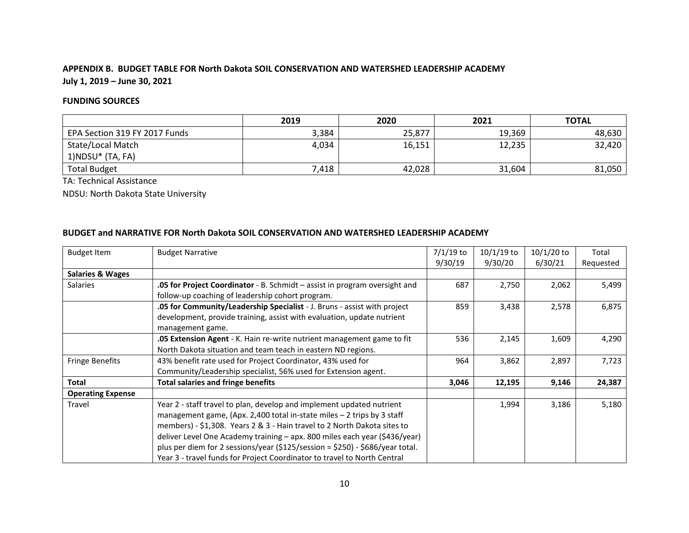# **APPENDIX B. BUDGET TABLE FOR North Dakota SOIL CONSERVATION AND WATERSHED LEADERSHIP ACADEMY July 1, 2019 – June 30, 2021**

# **FUNDING SOURCES**

|                               | 2019  | 2020   | 2021   | <b>TOTAL</b> |
|-------------------------------|-------|--------|--------|--------------|
| EPA Section 319 FY 2017 Funds | 3,384 | 25,877 | 19,369 | 48,630       |
| State/Local Match             | 4,034 | 16,151 | 12,235 | 32,420       |
| $1)NDSU*$ (TA, FA)            |       |        |        |              |
| <b>Total Budget</b>           | 7,418 | 42,028 | 31,604 | 81,050       |

TA: Technical Assistance

NDSU: North Dakota State University

# **BUDGET and NARRATIVE FOR North Dakota SOIL CONSERVATION AND WATERSHED LEADERSHIP ACADEMY**

| <b>Budget Item</b>          | <b>Budget Narrative</b>                                                           | $7/1/19$ to | $10/1/19$ to | $10/1/20$ to | Total     |
|-----------------------------|-----------------------------------------------------------------------------------|-------------|--------------|--------------|-----------|
|                             |                                                                                   | 9/30/19     | 9/30/20      | 6/30/21      | Requested |
| <b>Salaries &amp; Wages</b> |                                                                                   |             |              |              |           |
| Salaries                    | <b>.05 for Project Coordinator</b> - B. Schmidt – assist in program oversight and | 687         | 2,750        | 2,062        | 5,499     |
|                             | follow-up coaching of leadership cohort program.                                  |             |              |              |           |
|                             | <b>.05 for Community/Leadership Specialist</b> - J. Bruns - assist with project   | 859         | 3,438        | 2,578        | 6,875     |
|                             | development, provide training, assist with evaluation, update nutrient            |             |              |              |           |
|                             | management game.                                                                  |             |              |              |           |
|                             | <b>.05 Extension Agent</b> - K. Hain re-write nutrient management game to fit     | 536         | 2,145        | 1,609        | 4,290     |
|                             | North Dakota situation and team teach in eastern ND regions.                      |             |              |              |           |
| <b>Fringe Benefits</b>      | 43% benefit rate used for Project Coordinator, 43% used for                       | 964         | 3,862        | 2,897        | 7,723     |
|                             | Community/Leadership specialist, 56% used for Extension agent.                    |             |              |              |           |
| <b>Total</b>                | <b>Total salaries and fringe benefits</b>                                         | 3,046       | 12,195       | 9,146        | 24,387    |
| <b>Operating Expense</b>    |                                                                                   |             |              |              |           |
| Travel                      | Year 2 - staff travel to plan, develop and implement updated nutrient             |             | 1,994        | 3,186        | 5,180     |
|                             | management game, (Apx. 2,400 total in-state miles $-$ 2 trips by 3 staff          |             |              |              |           |
|                             | members) - \$1,308. Years 2 & 3 - Hain travel to 2 North Dakota sites to          |             |              |              |           |
|                             | deliver Level One Academy training - apx. 800 miles each year (\$436/year)        |             |              |              |           |
|                             | plus per diem for 2 sessions/year (\$125/session = \$250) - \$686/year total.     |             |              |              |           |
|                             | Year 3 - travel funds for Project Coordinator to travel to North Central          |             |              |              |           |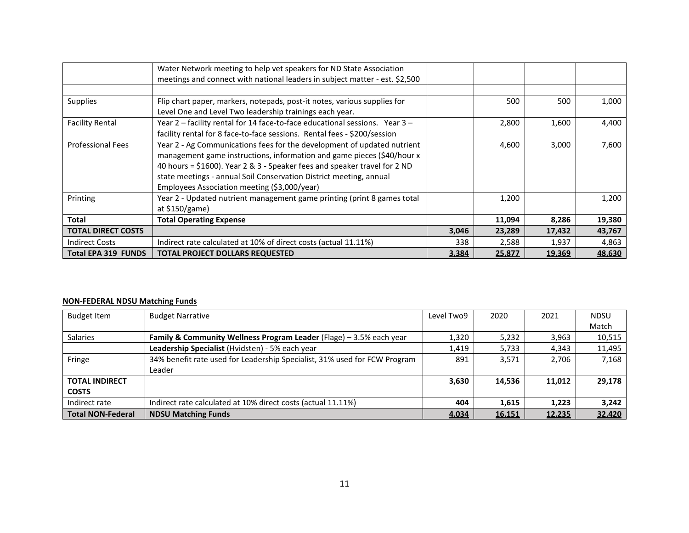|                            | Water Network meeting to help vet speakers for ND State Association         |       |        |        |        |
|----------------------------|-----------------------------------------------------------------------------|-------|--------|--------|--------|
|                            | meetings and connect with national leaders in subject matter - est. \$2,500 |       |        |        |        |
|                            |                                                                             |       |        |        |        |
| <b>Supplies</b>            | Flip chart paper, markers, notepads, post-it notes, various supplies for    |       | 500    | 500    | 1,000  |
|                            | Level One and Level Two leadership trainings each year.                     |       |        |        |        |
| <b>Facility Rental</b>     | Year 2 - facility rental for 14 face-to-face educational sessions. Year 3 - |       | 2,800  | 1,600  | 4,400  |
|                            | facility rental for 8 face-to-face sessions. Rental fees - \$200/session    |       |        |        |        |
| <b>Professional Fees</b>   | Year 2 - Ag Communications fees for the development of updated nutrient     |       | 4,600  | 3,000  | 7,600  |
|                            | management game instructions, information and game pieces (\$40/hour x      |       |        |        |        |
|                            | 40 hours = \$1600). Year 2 & 3 - Speaker fees and speaker travel for 2 ND   |       |        |        |        |
|                            | state meetings - annual Soil Conservation District meeting, annual          |       |        |        |        |
|                            | Employees Association meeting (\$3,000/year)                                |       |        |        |        |
| Printing                   | Year 2 - Updated nutrient management game printing (print 8 games total     |       | 1,200  |        | 1,200  |
|                            | at \$150/game)                                                              |       |        |        |        |
| <b>Total</b>               | <b>Total Operating Expense</b>                                              |       | 11,094 | 8,286  | 19,380 |
| <b>TOTAL DIRECT COSTS</b>  |                                                                             | 3,046 | 23,289 | 17,432 | 43,767 |
| <b>Indirect Costs</b>      | Indirect rate calculated at 10% of direct costs (actual 11.11%)             | 338   | 2,588  | 1,937  | 4,863  |
| <b>Total EPA 319 FUNDS</b> | <b>TOTAL PROJECT DOLLARS REQUESTED</b>                                      | 3,384 | 25,877 | 19,369 | 48,630 |

# **NON-FEDERAL NDSU Matching Funds**

| <b>Budget Item</b>       | <b>Budget Narrative</b>                                                   | Level Two9 | 2020   | 2021   | <b>NDSU</b> |
|--------------------------|---------------------------------------------------------------------------|------------|--------|--------|-------------|
|                          |                                                                           |            |        |        | Match       |
| <b>Salaries</b>          | Family & Community Wellness Program Leader (Flage) - 3.5% each year       | 1,320      | 5,232  | 3,963  | 10,515      |
|                          | Leadership Specialist (Hvidsten) - 5% each year                           | 1,419      | 5,733  | 4,343  | 11,495      |
| Fringe                   | 34% benefit rate used for Leadership Specialist, 31% used for FCW Program | 891        | 3.571  | 2.706  | 7,168       |
|                          | Leader                                                                    |            |        |        |             |
| <b>TOTAL INDIRECT</b>    |                                                                           | 3,630      | 14,536 | 11,012 | 29,178      |
| <b>COSTS</b>             |                                                                           |            |        |        |             |
| Indirect rate            | Indirect rate calculated at 10% direct costs (actual 11.11%)              | 404        | 1,615  | 1,223  | 3,242       |
| <b>Total NON-Federal</b> | <b>NDSU Matching Funds</b>                                                | 4,034      | 16,151 | 12,235 | 32,420      |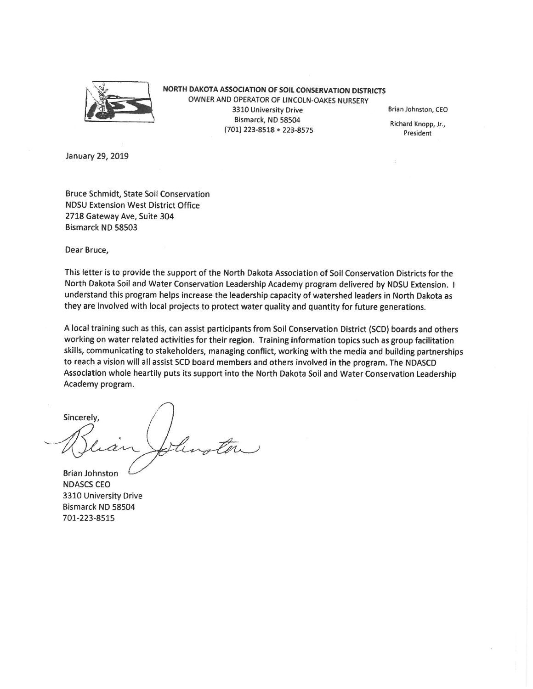

NORTH DAKOTA ASSOCIATION OF SOIL CONSERVATION DISTRICTS OWNER AND OPERATOR OF LINCOLN-OAKES NURSERY 3310 University Drive Bismarck, ND 58504 (701) 223-8518 . 223-8575

Brian Johnston, CEO

Richard Knopp, Jr., President

January 29, 2019

Bruce Schmidt, State Soil Conservation **NDSU Extension West District Office** 2718 Gateway Ave, Suite 304 Bismarck ND 58503

Dear Bruce,

This letter is to provide the support of the North Dakota Association of Soil Conservation Districts for the North Dakota Soil and Water Conservation Leadership Academy program delivered by NDSU Extension. I understand this program helps increase the leadership capacity of watershed leaders in North Dakota as they are involved with local projects to protect water quality and quantity for future generations.

A local training such as this, can assist participants from Soil Conservation District (SCD) boards and others working on water related activities for their region. Training information topics such as group facilitation skills, communicating to stakeholders, managing conflict, working with the media and building partnerships to reach a vision will all assist SCD board members and others involved in the program. The NDASCD Association whole heartily puts its support into the North Dakota Soil and Water Conservation Leadership Academy program.

Sincerely,

**Brian Johnston NDASCS CEO** 3310 University Drive Bismarck ND 58504 701-223-8515